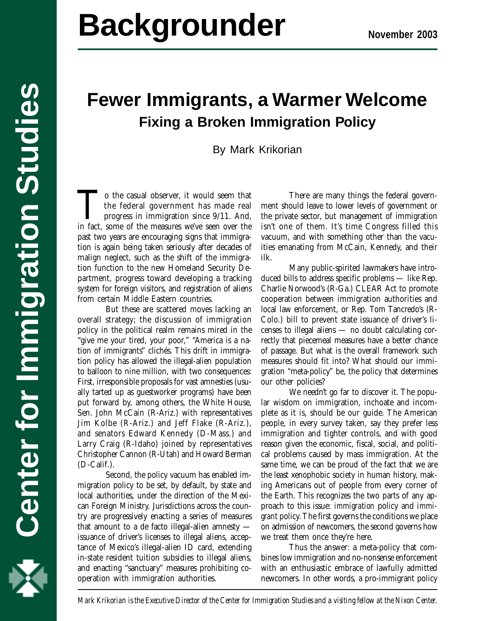## **Center for Immigration Studies Backgrounder**

# **Fewer Immigrants, a Warmer Welcome Fixing a Broken Immigration Policy**

By Mark Krikorian

To the casual observer, it would seem that<br>the federal government has made real<br>progress in immigration since 9/11. And,<br>in fact, some of the measures we've seen over the the federal government has made real progress in immigration since 9/11. And, in fact, some of the measures we've seen over the past two years are encouraging signs that immigration is again being taken seriously after decades of malign neglect, such as the shift of the immigration function to the new Homeland Security Department, progress toward developing a tracking system for foreign visitors, and registration of aliens from certain Middle Eastern countries.

But these are scattered moves lacking an overall strategy; the discussion of immigration policy in the political realm remains mired in the "give me your tired, your poor," "America is a nation of immigrants" clichés. This drift in immigration policy has allowed the illegal-alien population to balloon to nine million, with two consequences: First, irresponsible proposals for vast amnesties (usually tarted up as guestworker programs) have been put forward by, among others, the White House, Sen. John McCain (R-Ariz.) with representatives Jim Kolbe (R-Ariz.) and Jeff Flake (R-Ariz.), and senators Edward Kennedy (D-Mass.) and Larry Craig (R-Idaho) joined by representatives Christopher Cannon (R-Utah) and Howard Berman (D-Calif.).

Second, the policy vacuum has enabled immigration policy to be set, by default, by state and local authorities, under the direction of the Mexican Foreign Ministry. Jurisdictions across the country are progressively enacting a series of measures that amount to a de facto illegal-alien amnesty issuance of driver's licenses to illegal aliens, acceptance of Mexico's illegal-alien ID card, extending in-state resident tuition subsidies to illegal aliens, and enacting "sanctuary" measures prohibiting cooperation with immigration authorities.

There are many things the federal government should leave to lower levels of government or the private sector, but management of immigration isn't one of them. It's time Congress filled this vacuum, and with something other than the vacuities emanating from McCain, Kennedy, and their ilk.

Many public-spirited lawmakers have introduced bills to address specific problems — like Rep. Charlie Norwood's (R-Ga.) CLEAR Act to promote cooperation between immigration authorities and local law enforcement, or Rep. Tom Tancredo's (R-Colo.) bill to prevent state issuance of driver's licenses to illegal aliens — no doubt calculating correctly that piecemeal measures have a better chance of passage. But what is the overall framework such measures should fit into? What should our immigration "meta-policy" be, the policy that determines our other policies?

We needn't go far to discover it. The popular wisdom on immigration, inchoate and incomplete as it is, should be our guide. The American people, in every survey taken, say they prefer less immigration and tighter controls, and with good reason given the economic, fiscal, social, and political problems caused by mass immigration. At the same time, we can be proud of the fact that we are the least xenophobic society in human history, making Americans out of people from every corner of the Earth. This recognizes the two parts of any approach to this issue: *immigration* policy and *immigrant* policy. The first governs the conditions we place on admission of newcomers, the second governs how we treat them once they're here.

Thus the answer: a meta-policy that combines low immigration and no-nonsense enforcement with an enthusiastic embrace of lawfully admitted newcomers. In other words, a pro-immigrant policy



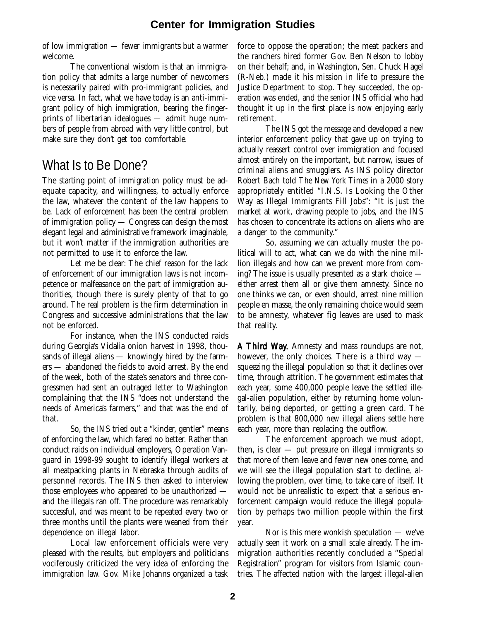of low immigration — fewer immigrants but a warmer welcome.

The conventional wisdom is that an immigration policy that admits a large number of newcomers is necessarily paired with pro-immigrant policies, and vice versa. In fact, what we have today is an anti-immigrant policy of high immigration, bearing the fingerprints of libertarian idealogues — admit huge numbers of people from abroad with very little control, but make sure they don't get too comfortable.

## What Is to Be Done?

The starting point of *immigration* policy must be adequate capacity, and willingness, to actually enforce the law, whatever the content of the law happens to be. Lack of enforcement has been the central problem of immigration policy — Congress can design the most elegant legal and administrative framework imaginable, but it won't matter if the immigration authorities are not permitted to use it to enforce the law.

Let me be clear: The chief reason for the lack of enforcement of our immigration laws is not incompetence or malfeasance on the part of immigration authorities, though there is surely plenty of that to go around. The real problem is the firm determination in Congress and successive administrations that the law not be enforced.

For instance, when the INS conducted raids during Georgia's Vidalia onion harvest in 1998, thousands of illegal aliens — knowingly hired by the farmers — abandoned the fields to avoid arrest. By the end of the week, both of the state's senators and three congressmen had sent an outraged letter to Washington complaining that the INS "does not understand the needs of America's farmers," and that was the end of that.

So, the INS tried out a "kinder, gentler" means of enforcing the law, which fared no better. Rather than conduct raids on individual employers, Operation Vanguard in 1998-99 sought to identify illegal workers at all meatpacking plants in Nebraska through audits of personnel records. The INS then asked to interview those employees who appeared to be unauthorized and the illegals ran off. The procedure was remarkably successful, and was meant to be repeated every two or three months until the plants were weaned from their dependence on illegal labor.

Local law enforcement officials were very pleased with the results, but employers and politicians vociferously criticized the very idea of enforcing the immigration law. Gov. Mike Johanns organized a task force to oppose the operation; the meat packers and the ranchers hired former Gov. Ben Nelson to lobby on their behalf; and, in Washington, Sen. Chuck Hagel (R-Neb.) made it his mission in life to pressure the Justice Department to stop. They succeeded, the operation was ended, and the senior INS official who had thought it up in the first place is now enjoying early retirement.

The INS got the message and developed a new interior enforcement policy that gave up on trying to actually reassert control over immigration and focused almost entirely on the important, but narrow, issues of criminal aliens and smugglers. As INS policy director Robert Bach told *The New York Times* in a 2000 story appropriately entitled "I.N.S. Is Looking the Other Way as Illegal Immigrants Fill Jobs": "It is just the market at work, drawing people to jobs, and the INS has chosen to concentrate its actions on aliens who are a danger to the community."

So, assuming we can actually muster the political will to act, what can we do with the nine million illegals and how can we prevent more from coming? The issue is usually presented as a stark choice either arrest them all or give them amnesty. Since no one thinks we can, or even should, arrest nine million people en masse, the only remaining choice would seem to be amnesty, whatever fig leaves are used to mask that reality.

A Third Way. Amnesty and mass roundups are not, . however, the only choices. There is a third way squeezing the illegal population so that it declines over time, through attrition. The government estimates that each year, some 400,000 people leave the settled illegal-alien population, either by returning home voluntarily, being deported, or getting a green card. The problem is that 800,000 *new* illegal aliens settle here each year, more than replacing the outflow.

The enforcement approach we must adopt, then, is clear  $-$  put pressure on illegal immigrants so that more of them leave and fewer new ones come, and we will see the illegal population start to decline, allowing the problem, over time, to take care of itself. It would not be unrealistic to expect that a serious enforcement campaign would reduce the illegal population by perhaps two million people within the first year.

Nor is this mere wonkish speculation — we've actually seen it work on a small scale already. The immigration authorities recently concluded a "Special Registration" program for visitors from Islamic countries. The affected nation with the largest illegal-alien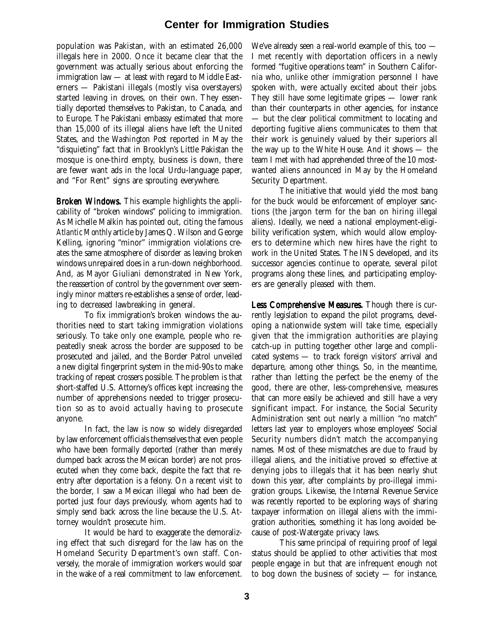population was Pakistan, with an estimated 26,000 illegals here in 2000. Once it became clear that the government was actually serious about enforcing the immigration law — at least with regard to Middle Easterners — Pakistani illegals (mostly visa overstayers) started leaving in droves, on their own. They essentially deported themselves to Pakistan, to Canada, and to Europe. The Pakistani embassy estimated that more than 15,000 of its illegal aliens have left the United States, and the *Washington Post* reported in May the "disquieting" fact that in Brooklyn's Little Pakistan the mosque is one-third empty, business is down, there are fewer want ads in the local Urdu-language paper, and "For Rent" signs are sprouting everywhere.

Broken Windows. This example highlights the applicability of "broken windows" policing to immigration. As Michelle Malkin has pointed out, citing the famous *Atlantic Monthly* article by James Q. Wilson and George Kelling, ignoring "minor" immigration violations creates the same atmosphere of disorder as leaving broken windows unrepaired does in a run-down neighborhood. And, as Mayor Giuliani demonstrated in New York, the reassertion of control by the government over seemingly minor matters re-establishes a sense of order, leading to decreased lawbreaking in general.

To fix immigration's broken windows the authorities need to start taking immigration violations seriously. To take only one example, people who repeatedly sneak across the border are supposed to be prosecuted and jailed, and the Border Patrol unveiled a new digital fingerprint system in the mid-90s to make tracking of repeat crossers possible. The problem is that short-staffed U.S. Attorney's offices kept increasing the number of apprehensions needed to trigger prosecution so as to avoid actually having to prosecute anyone.

In fact, the law is now so widely disregarded by law enforcement officials themselves that even people who have been formally deported (rather than merely dumped back across the Mexican border) are not prosecuted when they come back, despite the fact that reentry after deportation is a felony. On a recent visit to the border, I saw a Mexican illegal who had been deported just four days previously, whom agents had to simply send back across the line because the U.S. Attorney wouldn't prosecute him.

It would be hard to exaggerate the demoralizing effect that such disregard for the law has on the Homeland Security Department's own staff. Conversely, the morale of immigration workers would soar in the wake of a real commitment to law enforcement.

We've already seen a real-world example of this, too — I met recently with deportation officers in a newly formed "fugitive operations team" in Southern California who, unlike other immigration personnel I have spoken with, were actually excited about their jobs. They still have some legitimate gripes — lower rank than their counterparts in other agencies, for instance — but the clear political commitment to locating and deporting fugitive aliens communicates to them that their work is genuinely valued by their superiors all the way up to the White House. And it shows — the team I met with had apprehended three of the 10 mostwanted aliens announced in May by the Homeland Security Department.

The initiative that would yield the most bang for the buck would be enforcement of employer sanctions (the jargon term for the ban on hiring illegal aliens). Ideally, we need a national employment-eligibility verification system, which would allow employers to determine which new hires have the right to work in the United States. The INS developed, and its successor agencies continue to operate, several pilot programs along these lines, and participating employers are generally pleased with them.

Less Comprehensive Measures. Though there is currently legislation to expand the pilot programs, developing a nationwide system will take time, especially given that the immigration authorities are playing catch-up in putting together other large and complicated systems — to track foreign visitors' arrival and departure, among other things. So, in the meantime, rather than letting the perfect be the enemy of the good, there are other, less-comprehensive, measures that can more easily be achieved and still have a very significant impact. For instance, the Social Security Administration sent out nearly a million "no match" letters last year to employers whose employees' Social Security numbers didn't match the accompanying names. Most of these mismatches are due to fraud by illegal aliens, and the initiative proved so effective at denying jobs to illegals that it has been nearly shut down this year, after complaints by pro-illegal immigration groups. Likewise, the Internal Revenue Service was recently reported to be exploring ways of sharing taxpayer information on illegal aliens with the immigration authorities, something it has long avoided because of post-Watergate privacy laws.

This same principal of requiring proof of legal status should be applied to other activities that most people engage in but that are infrequent enough not to bog down the business of society — for instance,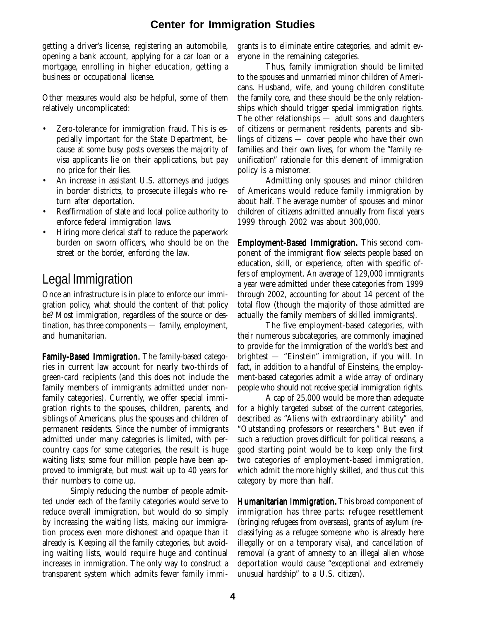getting a driver's license, registering an automobile, opening a bank account, applying for a car loan or a mortgage, enrolling in higher education, getting a business or occupational license.

Other measures would also be helpful, some of them relatively uncomplicated:

- Zero-tolerance for immigration fraud. This is especially important for the State Department, because at some busy posts overseas the *majority* of visa applicants lie on their applications, but pay no price for their lies.
- An increase in assistant U.S. attorneys and judges in border districts, to prosecute illegals who return after deportation.
- Reaffirmation of state and local police authority to enforce federal immigration laws.
- Hiring more clerical staff to reduce the paperwork burden on sworn officers, who should be on the street or the border, enforcing the law.

## Legal Immigration

Once an infrastructure is in place to enforce our immigration policy, what should the content of that policy be? Most immigration, regardless of the source or destination, has three components — family, employment, and humanitarian.

Family-Based Immigration. The family-based categories in current law account for nearly two-thirds of green-card recipients (and this does not include the family members of immigrants admitted under nonfamily categories). Currently, we offer special immigration rights to the spouses, children, parents, and siblings of Americans, plus the spouses and children of permanent residents. Since the number of immigrants admitted under many categories is limited, with percountry caps for some categories, the result is huge waiting lists; some four million people have been approved to immigrate, but must wait up to 40 years for their numbers to come up.

Simply reducing the number of people admitted under each of the family categories would serve to reduce overall immigration, but would do so simply by increasing the waiting lists, making our immigration process even more dishonest and opaque than it already is. Keeping all the family categories, but avoiding waiting lists, would require huge and continual increases in immigration. The only way to construct a transparent system which admits fewer family immi-

grants is to eliminate entire categories, and admit everyone in the remaining categories.

Thus, family immigration should be limited to the spouses and unmarried minor children of Americans. Husband, wife, and young children constitute the family core, and these should be the only relationships which should trigger special immigration rights. The other relationships — adult sons and daughters of citizens or permanent residents, parents and siblings of citizens — cover people who have their own families and their own lives, for whom the "family reunification" rationale for this element of immigration policy is a misnomer.

Admitting only spouses and minor children of Americans would reduce family immigration by about half. The average number of spouses and minor children of citizens admitted annually from fiscal years 1999 through 2002 was about 300,000.

**Employment-Based Immigration.** This second component of the immigrant flow selects people based on education, skill, or experience, often with specific offers of employment. An average of 129,000 immigrants a year were admitted under these categories from 1999 through 2002, accounting for about 14 percent of the total flow (though the majority of those admitted are actually the family members of skilled immigrants).

The five employment-based categories, with their numerous subcategories, are commonly imagined to provide for the immigration of the world's best and brightest — "Einstein" immigration, if you will. In fact, in addition to a handful of Einsteins, the employment-based categories admit a wide array of ordinary people who should not receive special immigration rights.

A cap of 25,000 would be more than adequate for a highly targeted subset of the current categories, described as "Aliens with extraordinary ability" and "Outstanding professors or researchers." But even if such a reduction proves difficult for political reasons, a good starting point would be to keep only the first two categories of employment-based immigration, which admit the more highly skilled, and thus cut this category by more than half.

Humanitarian Immigration. This broad component of immigration has three parts: refugee resettlement (bringing refugees from overseas), grants of asylum (reclassifying as a refugee someone who is already here illegally or on a temporary visa), and cancellation of removal (a grant of amnesty to an illegal alien whose deportation would cause "exceptional and extremely unusual hardship" to a U.S. citizen).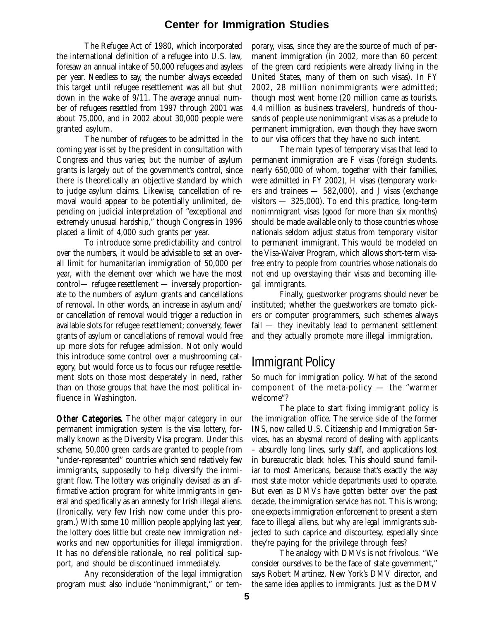The Refugee Act of 1980, which incorporated the international definition of a refugee into U.S. law, foresaw an annual intake of 50,000 refugees and asylees per year. Needless to say, the number always exceeded this target until refugee resettlement was all but shut down in the wake of 9/11. The average annual number of refugees resettled from 1997 through 2001 was about 75,000, and in 2002 about 30,000 people were granted asylum.

The number of refugees to be admitted in the coming year is set by the president in consultation with Congress and thus varies; but the number of asylum grants is largely out of the government's control, since there is theoretically an objective standard by which to judge asylum claims. Likewise, cancellation of removal would appear to be potentially unlimited, depending on judicial interpretation of "exceptional and extremely unusual hardship," though Congress in 1996 placed a limit of 4,000 such grants per year.

To introduce some predictability and control over the numbers, it would be advisable to set an overall limit for humanitarian immigration of 50,000 per year, with the element over which we have the most control— refugee resettlement — inversely proportionate to the numbers of asylum grants and cancellations of removal. In other words, an increase in asylum and/ or cancellation of removal would trigger a reduction in available slots for refugee resettlement; conversely, fewer grants of asylum or cancellations of removal would free up more slots for refugee admission. Not only would this introduce some control over a mushrooming category, but would force us to focus our refugee resettlement slots on those most desperately in need, rather than on those groups that have the most political influence in Washington.

Other Categories. The other major category in our permanent immigration system is the visa lottery, formally known as the Diversity Visa program. Under this scheme, 50,000 green cards are granted to people from "under-represented" countries which send relatively few immigrants, supposedly to help diversify the immigrant flow. The lottery was originally devised as an affirmative action program for white immigrants in general and specifically as an amnesty for Irish illegal aliens. (Ironically, very few Irish now come under this program.) With some 10 million people applying last year, the lottery does little but create new immigration networks and new opportunities for illegal immigration. It has no defensible rationale, no real political support, and should be discontinued immediately.

Any reconsideration of the legal immigration program must also include "nonimmigrant," or tem-

porary, visas, since they are the source of much of permanent immigration (in 2002, more than 60 percent of the green card recipients were already living in the United States, many of them on such visas). In FY 2002, 28 million nonimmigrants were admitted; though most went home (20 million came as tourists, 4.4 million as business travelers), hundreds of thousands of people use nonimmigrant visas as a prelude to permanent immigration, even though they have sworn to our visa officers that they have no such intent.

The main types of temporary visas that lead to permanent immigration are F visas (foreign students, nearly 650,000 of whom, together with their families, were admitted in FY 2002), H visas (temporary workers and trainees  $-582,000$ , and J visas (exchange visitors — 325,000). To end this practice, long-term nonimmigrant visas (good for more than six months) should be made available only to those countries whose nationals seldom adjust status from temporary visitor to permanent immigrant. This would be modeled on the Visa-Waiver Program, which allows short-term visafree entry to people from countries whose nationals do not end up overstaying their visas and becoming illegal immigrants.

Finally, guestworker programs should never be instituted; whether the guestworkers are tomato pickers or computer programmers, such schemes always fail — they inevitably lead to permanent settlement and they actually promote *more* illegal immigration.

### Immigrant Policy

So much for *immigration* policy. What of the second component of the meta-policy — the "warmer welcome"?

The place to start fixing immigrant policy is the immigration office. The service side of the former INS, now called U.S. Citizenship and Immigration Services, has an abysmal record of dealing with applicants – absurdly long lines, surly staff, and applications lost in bureaucratic black holes. This should sound familiar to most Americans, because that's exactly the way most state motor vehicle departments used to operate. But even as DMVs have gotten better over the past decade, the immigration service has not. This is wrong; one expects immigration enforcement to present a stern face to illegal aliens, but why are *legal* immigrants subjected to such caprice and discourtesy, especially since they're paying for the privilege through fees?

The analogy with DMVs is not frivolous. "We consider ourselves to be the face of state government," says Robert Martinez, New York's DMV director, and the same idea applies to immigrants. Just as the DMV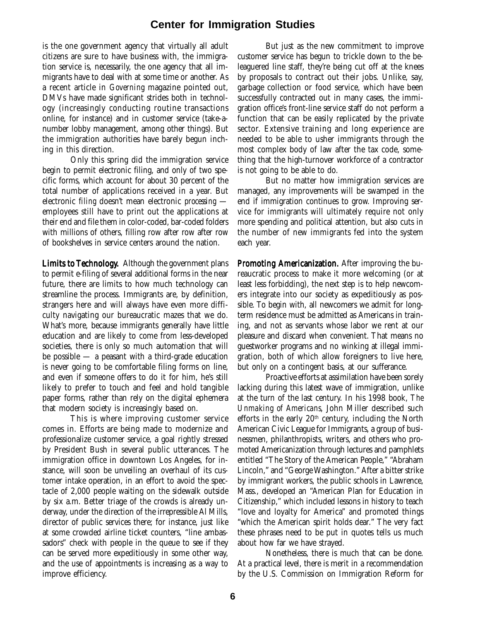is the one government agency that virtually all adult citizens are sure to have business with, the immigration service is, necessarily, the one agency that all immigrants have to deal with at some time or another. As a recent article in *Governing* magazine pointed out, DMVs have made significant strides both in technology (increasingly conducting routine transactions online, for instance) and in customer service (take-anumber lobby management, among other things). But the immigration authorities have barely begun inching in this direction.

Only this spring did the immigration service begin to permit electronic filing, and only of two specific forms, which account for about 30 percent of the total number of applications received in a year. But electronic *filing* doesn't mean electronic *processing*  employees still have to print out the applications at their end and file them in color-coded, bar-coded folders with millions of others, filling row after row after row of bookshelves in service centers around the nation.

Limits to Technology. Although the government plans to permit e-filing of several additional forms in the near future, there are limits to how much technology can streamline the process. Immigrants are, by definition, strangers here and will always have even more difficulty navigating our bureaucratic mazes that we do. What's more, because immigrants generally have little education and are likely to come from less-developed societies, there is only so much automation that will be possible — a peasant with a third-grade education is never going to be comfortable filing forms on line, and even if someone offers to do it for him, he's still likely to prefer to touch and feel and hold tangible paper forms, rather than rely on the digital ephemera that modern society is increasingly based on.

This is where improving customer service comes in. Efforts are being made to modernize and professionalize customer service, a goal rightly stressed by President Bush in several public utterances. The immigration office in downtown Los Angeles, for instance, will soon be unveiling an overhaul of its customer intake operation, in an effort to avoid the spectacle of 2,000 people waiting on the sidewalk outside by six a.m. Better triage of the crowds is already underway, under the direction of the irrepressible Al Mills, director of public services there; for instance, just like at some crowded airline ticket counters, "line ambassadors" check with people in the queue to see if they can be served more expeditiously in some other way, and the use of appointments is increasing as a way to improve efficiency.

But just as the new commitment to improve customer service has begun to trickle down to the beleaguered line staff, they're being cut off at the knees by proposals to contract out their jobs. Unlike, say, garbage collection or food service, which have been successfully contracted out in many cases, the immigration office's front-line service staff do not perform a function that can be easily replicated by the private sector. Extensive training and long experience are needed to be able to usher immigrants through the most complex body of law after the tax code, something that the high-turnover workforce of a contractor is not going to be able to do.

But no matter how immigration services are managed, any improvements will be swamped in the end if immigration continues to grow. Improving service for immigrants will ultimately require not only more spending and political attention, but also cuts in the number of new immigrants fed into the system each year.

Promoting Americanization. After improving the bureaucratic process to make it more welcoming (or at least less forbidding), the next step is to help newcomers integrate into our society as expeditiously as possible. To begin with, all newcomers we admit for longterm residence must be admitted as Americans in training, and not as servants whose labor we rent at our pleasure and discard when convenient. That means no guestworker programs and no winking at illegal immigration, both of which allow foreigners to live here, but only on a contingent basis, at our sufferance.

Proactive efforts at assimilation have been sorely lacking during this latest wave of immigration, unlike at the turn of the last century. In his 1998 book, *The Unmaking of Americans*, John Miller described such efforts in the early  $20<sup>th</sup>$  century, including the North American Civic League for Immigrants, a group of businessmen, philanthropists, writers, and others who promoted Americanization through lectures and pamphlets entitled "The Story of the American People," "Abraham Lincoln," and "George Washington." After a bitter strike by immigrant workers, the public schools in Lawrence, Mass., developed an "American Plan for Education in Citizenship," which included lessons in history to teach "love and loyalty for America" and promoted things "which the American spirit holds dear." The very fact these phrases need to be put in quotes tells us much about how far we have strayed.

Nonetheless, there is much that can be done. At a practical level, there is merit in a recommendation by the U.S. Commission on Immigration Reform for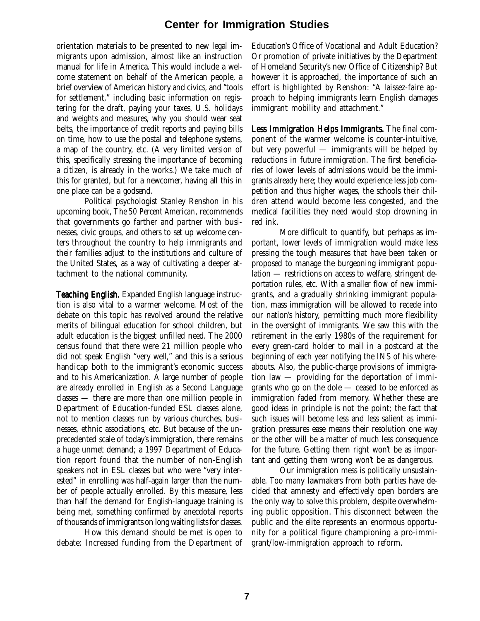orientation materials to be presented to new legal immigrants upon admission, almost like an instruction manual for life in America. This would include a welcome statement on behalf of the American people, a brief overview of American history and civics, and "tools for settlement," including basic information on registering for the draft, paying your taxes, U.S. holidays and weights and measures, why you should wear seat belts, the importance of credit reports and paying bills on time, how to use the postal and telephone systems, a map of the country, etc. (A very limited version of this, specifically stressing the importance of becoming a citizen, is already in the works.) We take much of this for granted, but for a newcomer, having all this in one place can be a godsend.

Political psychologist Stanley Renshon in his upcoming book, *The 50 Percent American*, recommends that governments go farther and partner with businesses, civic groups, and others to set up welcome centers throughout the country to help immigrants and their families adjust to the institutions and culture of the United States, as a way of cultivating a deeper attachment to the national community.

**Teaching English.** Expanded English language instruction is also vital to a warmer welcome. Most of the debate on this topic has revolved around the relative merits of bilingual education for school children, but adult education is the biggest unfilled need. The 2000 census found that there were 21 million people who did not speak English "very well," and this is a serious handicap both to the immigrant's economic success and to his Americanization. A large number of people are already enrolled in English as a Second Language classes — there are more than one million people in Department of Education-funded ESL classes alone, not to mention classes run by various churches, businesses, ethnic associations, etc. But because of the unprecedented scale of today's immigration, there remains a huge unmet demand; a 1997 Department of Education report found that the number of non-English speakers not in ESL classes but who were "very interested" in enrolling was half-again larger than the number of people actually enrolled. By this measure, less than half the demand for English-language training is being met, something confirmed by anecdotal reports of thousands of immigrants on long waiting lists for classes.

How this demand should be met is open to debate: Increased funding from the Department of

Education's Office of Vocational and Adult Education? Or promotion of private initiatives by the Department of Homeland Security's new Office of Citizenship? But however it is approached, the importance of such an effort is highlighted by Renshon: "A laissez-faire approach to helping immigrants learn English damages immigrant mobility and attachment."

Less Immigration Helps Immigrants. The final component of the warmer welcome is counter-intuitive, but very powerful — immigrants will be helped by reductions in future immigration. The first beneficiaries of lower levels of admissions would be the immigrants already here; they would experience less job competition and thus higher wages, the schools their children attend would become less congested, and the medical facilities they need would stop drowning in red ink.

More difficult to quantify, but perhaps as important, lower levels of immigration would make less pressing the tough measures that have been taken or proposed to manage the burgeoning immigrant population — restrictions on access to welfare, stringent deportation rules, etc. With a smaller flow of new immigrants, and a gradually shrinking immigrant population, mass immigration will be allowed to recede into our nation's history, permitting much more flexibility in the oversight of immigrants. We saw this with the retirement in the early 1980s of the requirement for every green-card holder to mail in a postcard at the beginning of each year notifying the INS of his whereabouts. Also, the public-charge provisions of immigration law — providing for the deportation of immigrants who go on the dole — ceased to be enforced as immigration faded from memory. Whether these are good ideas in principle is not the point; the fact that such issues will become less and less salient as immigration pressures ease means their resolution one way or the other will be a matter of much less consequence for the future. Getting them right won't be as important and getting them wrong won't be as dangerous.

Our immigration mess is politically unsustainable. Too many lawmakers from both parties have decided that amnesty and effectively open borders are the only way to solve this problem, despite overwhelming public opposition. This disconnect between the public and the elite represents an enormous opportunity for a political figure championing a pro-immigrant/low-immigration approach to reform.